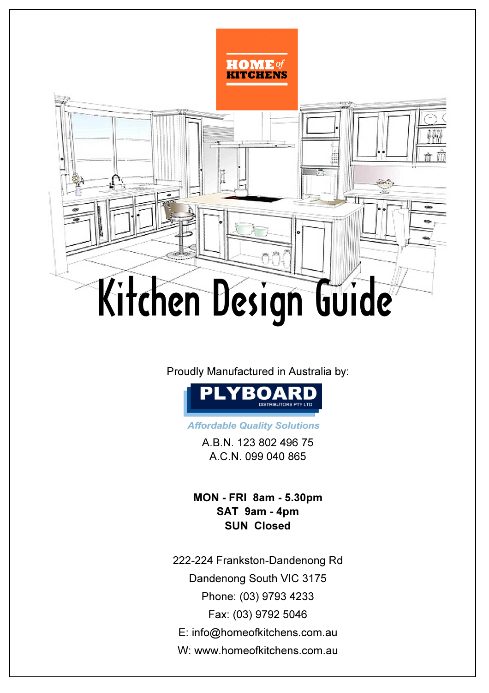

Proudly Manufactured in Australia by:



**Affordable Quality Solutions** 

A.B.N. 123 802 496 75 A.C.N. 099 040 865

MON - FRI 8am - 5.30pm SUN Closed SAT 9am - 4pm

W: www.homeofkitchens.com.au 222-224 Frankston-Dandenong Rd Phone: (03) 9793 4233 E: info@homeofkitchens.com.au Fax: (03) 9792 5046 Dandenong South VIC 3175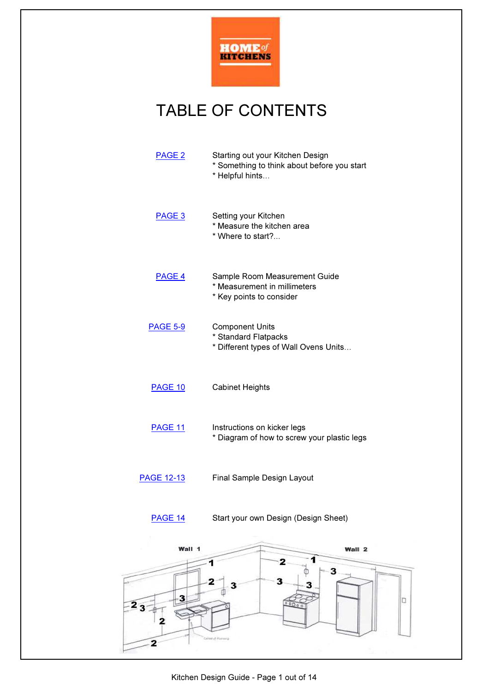

### TABLE OF CONTENTS

| PAGE <sub>2</sub>        | Starting out your Kitchen Design<br>* Something to think about before you start<br>* Helpful hints |
|--------------------------|----------------------------------------------------------------------------------------------------|
| PAGE 3                   | Setting your Kitchen<br>* Measure the kitchen area<br>* Where to start?                            |
| PAGE 4                   | Sample Room Measurement Guide<br>* Measurement in millimeters<br>* Key points to consider          |
| <b>PAGE 5-9</b>          | <b>Component Units</b><br>* Standard Flatpacks<br>* Different types of Wall Ovens Units            |
| PAGE 10                  | <b>Cabinet Heights</b>                                                                             |
| <b>PAGE 11</b>           | Instructions on kicker legs<br>* Diagram of how to screw your plastic legs                         |
| <b>PAGE 12-13</b>        | Final Sample Design Layout                                                                         |
| <b>PAGE 14</b>           | Start your own Design (Design Sheet)                                                               |
| Wall 1                   | Wall 2                                                                                             |
| 3<br>2 <sub>3</sub><br>2 | 1<br>2<br>1<br>3<br>3<br>$\mathbf{z}$<br>o<br>00000<br>Gine (Flowing                               |
|                          |                                                                                                    |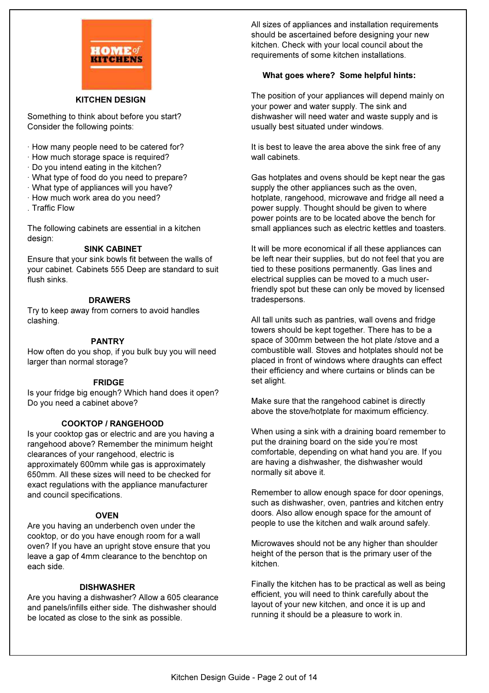

#### KITCHEN DESIGN

Something to think about before you start? Consider the following points:

- · How many people need to be catered for?
- · How much storage space is required?
- · Do you intend eating in the kitchen?
- · What type of food do you need to prepare?
- · What type of appliances will you have?
- · How much work area do you need?
- . Traffic Flow

The following cabinets are essential in a kitchen design:

### SINK CABINET

Ensure that your sink bowls fit between the walls of your cabinet. Cabinets 555 Deep are standard to suit flush sinks.

#### **DRAWERS**

Try to keep away from corners to avoid handles clashing.

#### PANTRY

How often do you shop, if you bulk buy you will need larger than normal storage?

#### FRIDGE

Is your fridge big enough? Which hand does it open? Do you need a cabinet above?

### COOKTOP / RANGEHOOD

Is your cooktop gas or electric and are you having a rangehood above? Remember the minimum height clearances of your rangehood, electric is approximately 600mm while gas is approximately 650mm. All these sizes will need to be checked for exact regulations with the appliance manufacturer and council specifications.

### **OVEN**

Are you having an underbench oven under the cooktop, or do you have enough room for a wall oven? If you have an upright stove ensure that you leave a gap of 4mm clearance to the benchtop on each side.

#### **DISHWASHER**

Are you having a dishwasher? Allow a 605 clearance and panels/infills either side. The dishwasher should be located as close to the sink as possible.

All sizes of appliances and installation requirements should be ascertained before designing your new kitchen. Check with your local council about the requirements of some kitchen installations.

### What goes where? Some helpful hints:

The position of your appliances will depend mainly on your power and water supply. The sink and dishwasher will need water and waste supply and is usually best situated under windows.

It is best to leave the area above the sink free of any wall cabinets.

Gas hotplates and ovens should be kept near the gas supply the other appliances such as the oven, hotplate, rangehood, microwave and fridge all need a power supply. Thought should be given to where power points are to be located above the bench for small appliances such as electric kettles and toasters.

It will be more economical if all these appliances can be left near their supplies, but do not feel that you are tied to these positions permanently. Gas lines and electrical supplies can be moved to a much userfriendly spot but these can only be moved by licensed tradespersons.

All tall units such as pantries, wall ovens and fridge towers should be kept together. There has to be a space of 300mm between the hot plate /stove and a combustible wall. Stoves and hotplates should not be placed in front of windows where draughts can effect their efficiency and where curtains or blinds can be set alight.

Make sure that the rangehood cabinet is directly above the stove/hotplate for maximum efficiency.

When using a sink with a draining board remember to put the draining board on the side you're most comfortable, depending on what hand you are. If you are having a dishwasher, the dishwasher would normally sit above it.

Remember to allow enough space for door openings, such as dishwasher, oven, pantries and kitchen entry doors. Also allow enough space for the amount of people to use the kitchen and walk around safely.

Microwaves should not be any higher than shoulder height of the person that is the primary user of the kitchen.

Finally the kitchen has to be practical as well as being efficient, you will need to think carefully about the layout of your new kitchen, and once it is up and running it should be a pleasure to work in.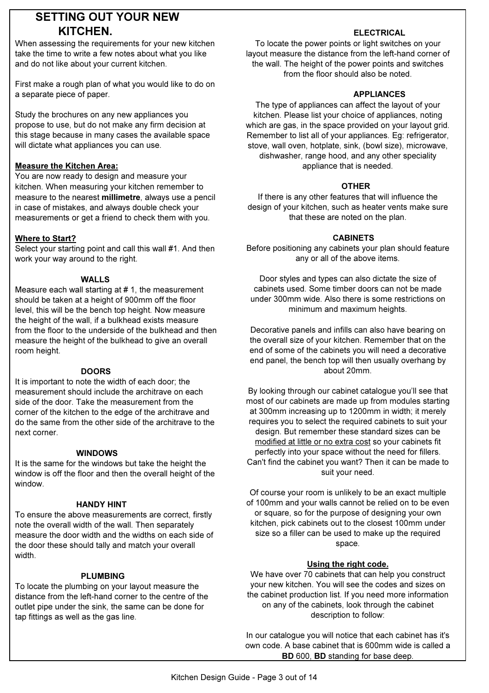### SETTING OUT YOUR NEW KITCHEN.

When assessing the requirements for your new kitchen take the time to write a few notes about what you like and do not like about your current kitchen.

First make a rough plan of what you would like to do on a separate piece of paper.

Study the brochures on any new appliances you propose to use, but do not make any firm decision at this stage because in many cases the available space will dictate what appliances you can use.

### Measure the Kitchen Area:

You are now ready to design and measure your kitchen. When measuring your kitchen remember to measure to the nearest millimetre, always use a pencil in case of mistakes, and always double check your measurements or get a friend to check them with you.

### Where to Start?

Select your starting point and call this wall #1. And then work your way around to the right.

### WALLS

Measure each wall starting at # 1, the measurement should be taken at a height of 900mm off the floor level, this will be the bench top height. Now measure the height of the wall, if a bulkhead exists measure from the floor to the underside of the bulkhead and then measure the height of the bulkhead to give an overall room height.

### **DOORS**

It is important to note the width of each door; the measurement should include the architrave on each side of the door. Take the measurement from the corner of the kitchen to the edge of the architrave and do the same from the other side of the architrave to the next corner.

### WINDOWS

It is the same for the windows but take the height the window is off the floor and then the overall height of the window.

### HANDY HINT

To ensure the above measurements are correct, firstly note the overall width of the wall. Then separately measure the door width and the widths on each side of the door these should tally and match your overall width.

#### PLUMBING

To locate the plumbing on your layout measure the distance from the left-hand corner to the centre of the outlet pipe under the sink, the same can be done for tap fittings as well as the gas line.

### ELECTRICAL

To locate the power points or light switches on your layout measure the distance from the left-hand corner of the wall. The height of the power points and switches from the floor should also be noted.

#### **APPLIANCES**

The type of appliances can affect the layout of your kitchen. Please list your choice of appliances, noting which are gas, in the space provided on your layout grid. Remember to list all of your appliances. Eg: refrigerator, stove, wall oven, hotplate, sink, (bowl size), microwave, dishwasher, range hood, and any other speciality appliance that is needed.

#### OTHER

If there is any other features that will influence the design of your kitchen, such as heater vents make sure that these are noted on the plan.

#### CABINETS

Before positioning any cabinets your plan should feature any or all of the above items.

Door styles and types can also dictate the size of cabinets used. Some timber doors can not be made under 300mm wide. Also there is some restrictions on minimum and maximum heights.

Decorative panels and infills can also have bearing on the overall size of your kitchen. Remember that on the end of some of the cabinets you will need a decorative end panel, the bench top will then usually overhang by about 20mm.

By looking through our cabinet catalogue you'll see that most of our cabinets are made up from modules starting at 300mm increasing up to 1200mm in width; it merely requires you to select the required cabinets to suit your design. But remember these standard sizes can be modified at little or no extra cost so your cabinets fit perfectly into your space without the need for fillers. Can't find the cabinet you want? Then it can be made to suit your need.

Of course your room is unlikely to be an exact multiple of 100mm and your walls cannot be relied on to be even or square, so for the purpose of designing your own kitchen, pick cabinets out to the closest 100mm under size so a filler can be used to make up the required space.

### Using the right code.

We have over 70 cabinets that can help you construct your new kitchen. You will see the codes and sizes on the cabinet production list. If you need more information on any of the cabinets, look through the cabinet description to follow:

In our catalogue you will notice that each cabinet has it's own code. A base cabinet that is 600mm wide is called a BD 600, BD standing for base deep.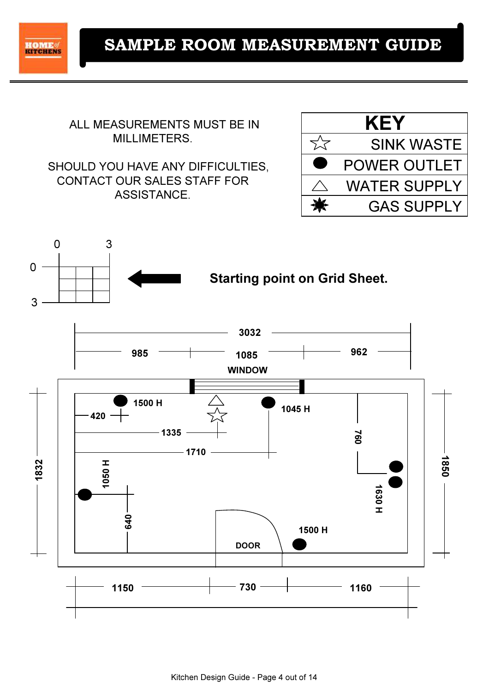

 ALL MEASUREMENTS MUST BE IN MILLIMETERS.

SHOULD YOU HAVE ANY DIFFICULTIES, CONTACT OUR SALES STAFF FOR ASSISTANCE.



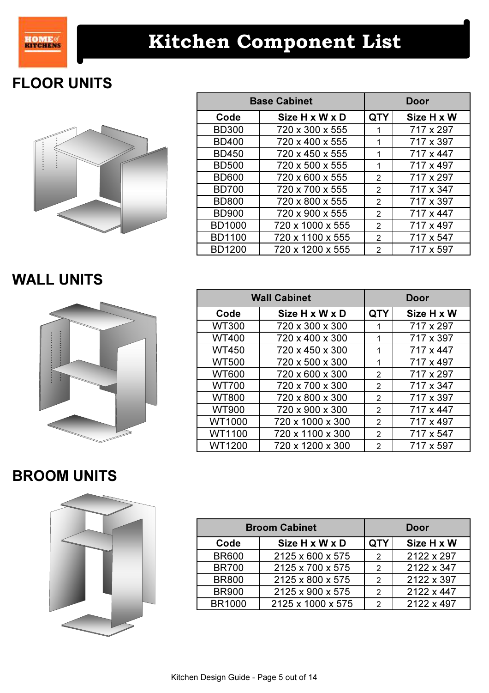

### FLOOR UNITS



| <b>Base Cabinet</b> |                  |                | Door       |
|---------------------|------------------|----------------|------------|
| Code                | Size H x W x D   | <b>QTY</b>     | Size H x W |
| <b>BD300</b>        | 720 x 300 x 555  | 1              | 717 x 297  |
| <b>BD400</b>        | 720 x 400 x 555  | 1              | 717 x 397  |
| <b>BD450</b>        | 720 x 450 x 555  | 1              | 717 x 447  |
| <b>BD500</b>        | 720 x 500 x 555  | 1              | 717 x 497  |
| <b>BD600</b>        | 720 x 600 x 555  | 2              | 717 x 297  |
| <b>BD700</b>        | 720 x 700 x 555  | 2              | 717 x 347  |
| <b>BD800</b>        | 720 x 800 x 555  | 2              | 717 x 397  |
| <b>BD900</b>        | 720 x 900 x 555  | 2              | 717 x 447  |
| <b>BD1000</b>       | 720 x 1000 x 555 | $\mathfrak{p}$ | 717 x 497  |
| <b>BD1100</b>       | 720 x 1100 x 555 | 2              | 717 x 547  |
| <b>BD1200</b>       | 720 x 1200 x 555 | 2              | 717 x 597  |

WALL UNITS



| <b>Wall Cabinet</b> |                  |                | Door       |
|---------------------|------------------|----------------|------------|
| Code                | Size H x W x D   | <b>QTY</b>     | Size H x W |
| <b>WT300</b>        | 720 x 300 x 300  | 1              | 717 x 297  |
| <b>WT400</b>        | 720 x 400 x 300  | 1              | 717 x 397  |
| <b>WT450</b>        | 720 x 450 x 300  | 1              | 717 x 447  |
| <b>WT500</b>        | 720 x 500 x 300  | 1              | 717 x 497  |
| <b>WT600</b>        | 720 x 600 x 300  | $\overline{2}$ | 717 x 297  |
| <b>WT700</b>        | 720 x 700 x 300  | $\overline{2}$ | 717 x 347  |
| <b>WT800</b>        | 720 x 800 x 300  | 2              | 717 x 397  |
| <b>WT900</b>        | 720 x 900 x 300  | $\overline{2}$ | 717 x 447  |
| WT1000              | 720 x 1000 x 300 | 2              | 717 x 497  |
| WT1100              | 720 x 1100 x 300 | 2              | 717 x 547  |
| WT1200              | 720 x 1200 x 300 | 2              | 717 x 597  |

### BROOM UNITS



| <b>Broom Cabinet</b> |                   |               | Door       |
|----------------------|-------------------|---------------|------------|
| Code                 | Size H x W x D    | <b>QTY</b>    | Size H x W |
| <b>BR600</b>         | 2125 x 600 x 575  | $\mathcal{P}$ | 2122 x 297 |
| <b>BR700</b>         | 2125 x 700 x 575  | 2             | 2122 x 347 |
| <b>BR800</b>         | 2125 x 800 x 575  | 2             | 2122 x 397 |
| <b>BR900</b>         | 2125 x 900 x 575  | 2             | 2122 x 447 |
| <b>BR1000</b>        | 2125 x 1000 x 575 | 2             | 2122 x 497 |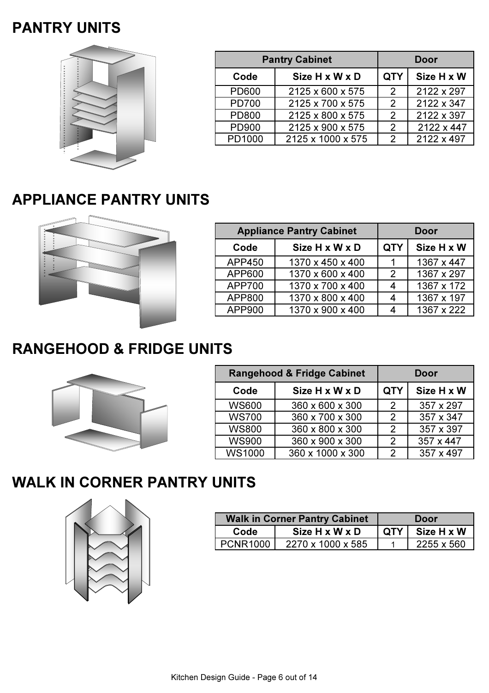### PANTRY UNITS



| <b>Pantry Cabinet</b> |                   |                          | Door       |
|-----------------------|-------------------|--------------------------|------------|
| Code                  | Size H x W x D    | Size H x W<br><b>QTY</b> |            |
| <b>PD600</b>          | 2125 x 600 x 575  | 2                        | 2122 x 297 |
| <b>PD700</b>          | 2125 x 700 x 575  | 2                        | 2122 x 347 |
| <b>PD800</b>          | 2125 x 800 x 575  | 2                        | 2122 x 397 |
| PD900                 | 2125 x 900 x 575  | 2                        | 2122 x 447 |
| PD1000                | 2125 x 1000 x 575 | $\mathcal{P}$            | 2122 x 497 |

### APPLIANCE PANTRY UNITS



| <b>Appliance Pantry Cabinet</b> |                  | Door                     |            |
|---------------------------------|------------------|--------------------------|------------|
| Code                            | Size H x W x D   | <b>QTY</b><br>Size H x W |            |
| <b>APP450</b>                   | 1370 x 450 x 400 |                          | 1367 x 447 |
| APP600                          | 1370 x 600 x 400 | $\mathcal{P}$            | 1367 x 297 |
| <b>APP700</b>                   | 1370 x 700 x 400 |                          | 1367 x 172 |
| APP800                          | 1370 x 800 x 400 | 4                        | 1367 x 197 |
| APP900                          | 1370 x 900 x 400 |                          | 1367 x 222 |

### RANGEHOOD & FRIDGE UNITS



| <b>Rangehood &amp; Fridge Cabinet</b> |                  | Door           |            |
|---------------------------------------|------------------|----------------|------------|
| Code                                  | Size H x W x D   | <b>QTY</b>     | Size H x W |
| <b>WS600</b>                          | 360 x 600 x 300  | 2              | 357 x 297  |
| <b>WS700</b>                          | 360 x 700 x 300  | 2              | 357 x 347  |
| <b>WS800</b>                          | 360 x 800 x 300  | $\overline{2}$ | 357 x 397  |
| <b>WS900</b>                          | 360 x 900 x 300  | $\mathcal{P}$  | 357 x 447  |
| <b>WS1000</b>                         | 360 x 1000 x 300 | 2              | 357 x 497  |



| <b>Walk in Corner Pantry Cabinet</b> |                   |                            | Door       |
|--------------------------------------|-------------------|----------------------------|------------|
| Code                                 | Size H x W x D    | Size H x W<br><b>QTY I</b> |            |
| PCNR1000                             | 2270 x 1000 x 585 |                            | 2255 x 560 |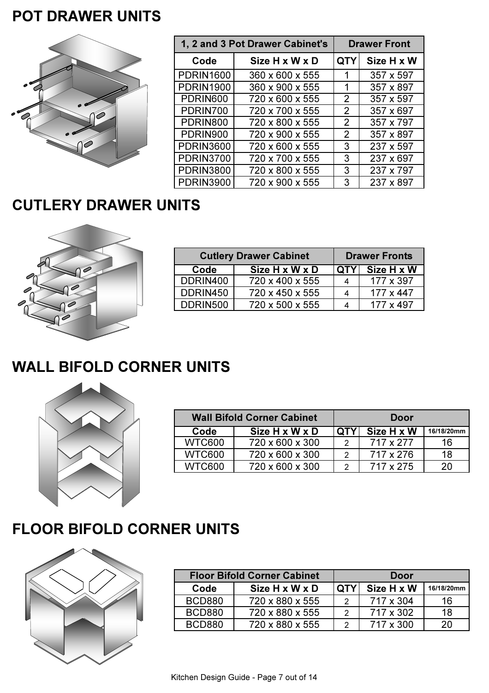### POT DRAWER UNITS



| 1, 2 and 3 Pot Drawer Cabinet's |                 |               | <b>Drawer Front</b> |
|---------------------------------|-----------------|---------------|---------------------|
| Code                            | Size H x W x D  | <b>QTY</b>    | Size H x W          |
| <b>PDRIN1600</b>                | 360 x 600 x 555 | 1             | 357 x 597           |
| <b>PDRIN1900</b>                | 360 x 900 x 555 | 1             | 357 x 897           |
| PDRIN600                        | 720 x 600 x 555 | $\mathcal{P}$ | 357 x 597           |
| PDRIN700                        | 720 x 700 x 555 | $\mathcal{P}$ | 357 x 697           |
| PDRIN800                        | 720 x 800 x 555 | 2             | 357 x 797           |
| PDRIN900                        | 720 x 900 x 555 | $\mathcal{P}$ | 357 x 897           |
| <b>PDRIN3600</b>                | 720 x 600 x 555 | 3             | 237 x 597           |
| <b>PDRIN3700</b>                | 720 x 700 x 555 | 3             | 237 x 697           |
| <b>PDRIN3800</b>                | 720 x 800 x 555 | 3             | 237 x 797           |
| <b>PDRIN3900</b>                | 720 x 900 x 555 | 3             | 237 x 897           |

### CUTLERY DRAWER UNITS



| <b>Cutlery Drawer Cabinet</b> |                 |            | <b>Drawer Fronts</b> |
|-------------------------------|-----------------|------------|----------------------|
| Code                          | Size H x W x D  | <b>QTY</b> | Size H x W           |
| DDRIN400                      | 720 x 400 x 555 |            | 177 x 397            |
| DDRIN450                      | 720 x 450 x 555 |            | $177 \times 447$     |
| DDRIN500                      | 720 x 500 x 555 |            | 177 x 497            |

### WALL BIFOLD CORNER UNITS



|               | <b>Wall Bifold Corner Cabinet</b> |            |            |            |
|---------------|-----------------------------------|------------|------------|------------|
| Code          | Size H x W x D                    | <b>QTY</b> | Size H x W | 16/18/20mm |
| <b>WTC600</b> | 720 x 600 x 300                   | 2          | 717 x 277  | 16         |
| <b>WTC600</b> | 720 x 600 x 300                   | 2          | 717 x 276  | 18         |
| WTC600        | 720 x 600 x 300                   | ົ          | 717 x 275  | 20         |

### FLOOR BIFOLD CORNER UNITS



| <b>Floor Bifold Corner Cabinet</b> |                 |            | Door       |            |
|------------------------------------|-----------------|------------|------------|------------|
| Code                               | Size H x W x D  | <b>QTY</b> | Size H x W | 16/18/20mm |
| <b>BCD880</b>                      | 720 x 880 x 555 | າ          | 717 x 304  | 16         |
| <b>BCD880</b>                      | 720 x 880 x 555 | າ          | 717 x 302  | 18         |
| BCD880                             | 720 x 880 x 555 | ົ          | 717 x 300  | 20         |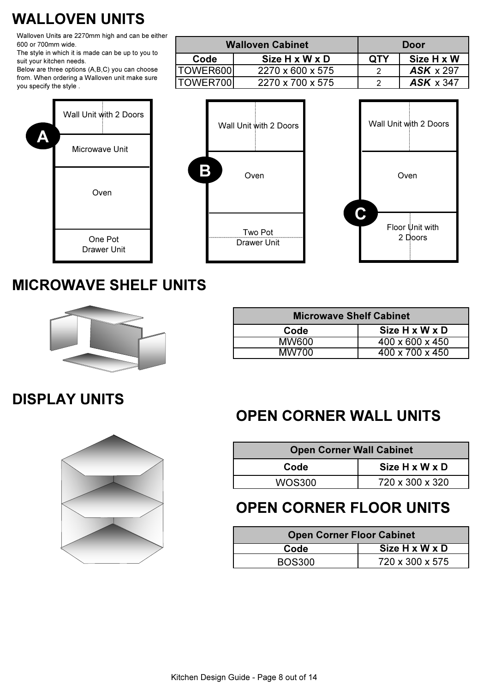### WALLOVEN UNITS

Walloven Units are 2270mm high and can be either 600 or 700mm wide.

The style in which it is made can be up to you to suit your kitchen needs.

Below are three options (A,B,C) you can choose from. When ordering a Walloven unit make sure you specify the style .

| <b>Walloven Cabinet</b> |                  | Door       |                  |
|-------------------------|------------------|------------|------------------|
| Code                    | Size H x W x D   | <b>QTY</b> | Size H x W       |
| TOWER600                | 2270 x 600 x 575 |            | $ASK \times 297$ |
| TOWER700                | 2270 x 700 x 575 |            | $ASK \times 347$ |



### MICROWAVE SHELF UNITS



| <b>Microwave Shelf Cabinet</b> |  |  |  |
|--------------------------------|--|--|--|
| Size H x W x D                 |  |  |  |
| $400 \times 600 \times 450$    |  |  |  |
| $400 \times 700 \times 450$    |  |  |  |
|                                |  |  |  |

### DISPLAY UNITS



### OPEN CORNER WALL UNITS

| <b>Open Corner Wall Cabinet</b> |                 |  |  |
|---------------------------------|-----------------|--|--|
| Code                            | Size H x W x D  |  |  |
| WOS300                          | 720 x 300 x 320 |  |  |

### OPEN CORNER FLOOR UNITS

| <b>Open Corner Floor Cabinet</b> |                            |  |
|----------------------------------|----------------------------|--|
| Code                             | Size $H \times W \times D$ |  |
| BOS300                           | 720 x 300 x 575            |  |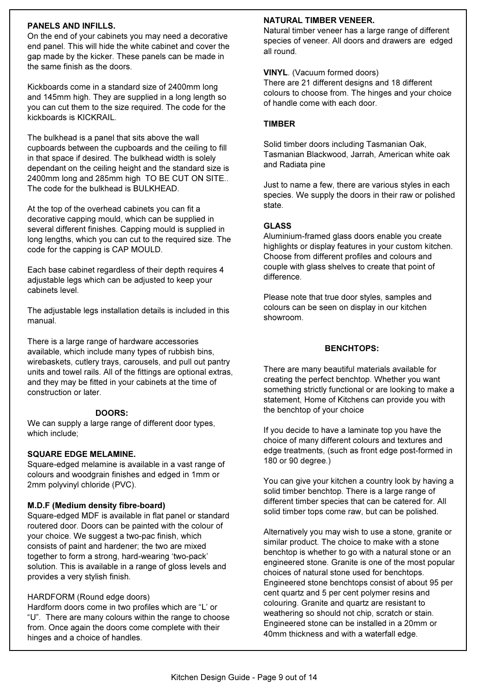### PANELS AND INFILLS.

On the end of your cabinets you may need a decorative end panel. This will hide the white cabinet and cover the gap made by the kicker. These panels can be made in the same finish as the doors.

Kickboards come in a standard size of 2400mm long and 145mm high. They are supplied in a long length so you can cut them to the size required. The code for the kickboards is KICKRAIL.

The bulkhead is a panel that sits above the wall cupboards between the cupboards and the ceiling to fill in that space if desired. The bulkhead width is solely dependant on the ceiling height and the standard size is 2400mm long and 285mm high TO BE CUT ON SITE.. The code for the bulkhead is BULKHEAD.

At the top of the overhead cabinets you can fit a decorative capping mould, which can be supplied in several different finishes. Capping mould is supplied in long lengths, which you can cut to the required size. The code for the capping is CAP MOULD.

Each base cabinet regardless of their depth requires 4 adjustable legs which can be adjusted to keep your cabinets level.

The adjustable legs installation details is included in this manual.

There is a large range of hardware accessories available, which include many types of rubbish bins, wirebaskets, cutlery trays, carousels, and pull out pantry units and towel rails. All of the fittings are optional extras, and they may be fitted in your cabinets at the time of construction or later.

### DOORS:

We can supply a large range of different door types, which include;

### SQUARE EDGE MELAMINE.

Square-edged melamine is available in a vast range of colours and woodgrain finishes and edged in 1mm or 2mm polyvinyl chloride (PVC).

### M.D.F (Medium density fibre-board)

Square-edged MDF is available in flat panel or standard routered door. Doors can be painted with the colour of your choice. We suggest a two-pac finish, which consists of paint and hardener; the two are mixed together to form a strong, hard-wearing 'two-pack' solution. This is available in a range of gloss levels and provides a very stylish finish.

### HARDFORM (Round edge doors)

Hardform doors come in two profiles which are "L' or "U". There are many colours within the range to choose from. Once again the doors come complete with their hinges and a choice of handles.

### NATURAL TIMBER VENEER.

Natural timber veneer has a large range of different species of veneer. All doors and drawers are edged all round.

### VINYL. (Vacuum formed doors)

There are 21 different designs and 18 different colours to choose from. The hinges and your choice of handle come with each door.

#### **TIMBER**

Solid timber doors including Tasmanian Oak, Tasmanian Blackwood, Jarrah, American white oak and Radiata pine

Just to name a few, there are various styles in each species. We supply the doors in their raw or polished state.

### **GLASS**

Aluminium-framed glass doors enable you create highlights or display features in your custom kitchen. Choose from different profiles and colours and couple with glass shelves to create that point of difference.

Please note that true door styles, samples and colours can be seen on display in our kitchen showroom.

### BENCHTOPS:

There are many beautiful materials available for creating the perfect benchtop. Whether you want something strictly functional or are looking to make a statement, Home of Kitchens can provide you with the benchtop of your choice

If you decide to have a laminate top you have the choice of many different colours and textures and edge treatments, (such as front edge post-formed in 180 or 90 degree.)

You can give your kitchen a country look by having a solid timber benchtop. There is a large range of different timber species that can be catered for. All solid timber tops come raw, but can be polished.

Alternatively you may wish to use a stone, granite or similar product. The choice to make with a stone benchtop is whether to go with a natural stone or an engineered stone. Granite is one of the most popular choices of natural stone used for benchtops. Engineered stone benchtops consist of about 95 per cent quartz and 5 per cent polymer resins and colouring. Granite and quartz are resistant to weathering so should not chip, scratch or stain. Engineered stone can be installed in a 20mm or 40mm thickness and with a waterfall edge.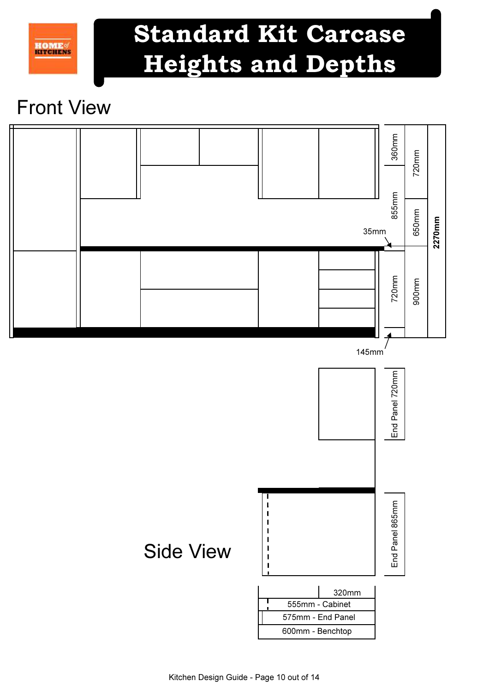# Standard Kit Carcase Heights and Depths

## Front View

**HOME** 

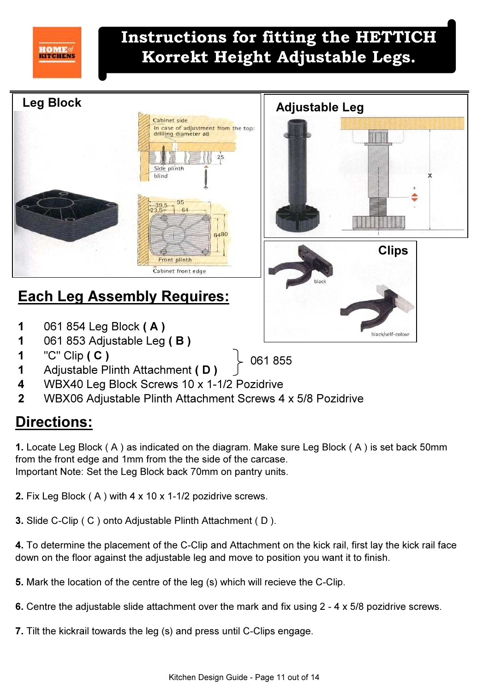### Instructions for fitting the HETTICH Korrekt Height Adjustable Legs.



### Each Leg Assembly Requires:

- 1 061 854 Leg Block ( A )
- 1 061 853 Adjustable Leg ( B )
- 1 "C" Clip ( C )

**HOME** 

1 Adjustable Plinth Attachment (D)

**Clips** 



061 855

- 4 WBX40 Leg Block Screws 10 x 1-1/2 Pozidrive
- 2 WBX06 Adjustable Plinth Attachment Screws 4 x 5/8 Pozidrive

### Directions:

1. Locate Leg Block ( A ) as indicated on the diagram. Make sure Leg Block ( A ) is set back 50mm from the front edge and 1mm from the the side of the carcase. Important Note: Set the Leg Block back 70mm on pantry units.

2. Fix Leg Block ( A ) with 4 x 10 x 1-1/2 pozidrive screws.

3. Slide C-Clip ( C ) onto Adjustable Plinth Attachment ( D ).

4. To determine the placement of the C-Clip and Attachment on the kick rail, first lay the kick rail face down on the floor against the adjustable leg and move to position you want it to finish.

5. Mark the location of the centre of the leg (s) which will recieve the C-Clip.

- 6. Centre the adjustable slide attachment over the mark and fix using 2 4 x 5/8 pozidrive screws.
- 7. Tilt the kickrail towards the leg (s) and press until C-Clips engage.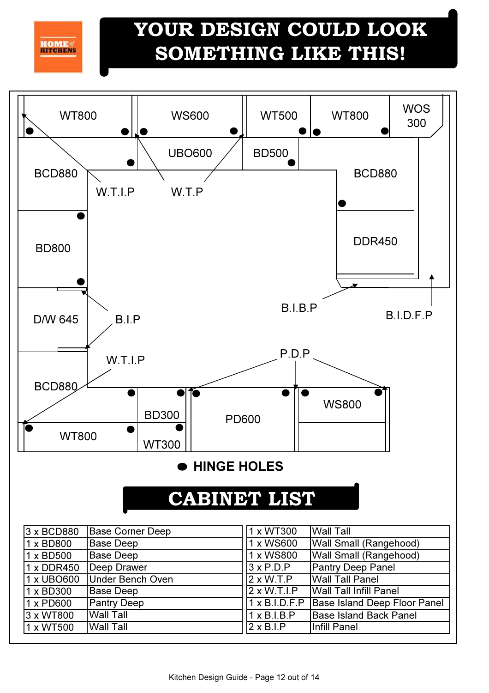**HOME** 

1 x PD600 3 x WT800

1 x WT500 Wall Tall

Pantry Deep Wall Tall

## YOUR DESIGN COULD LOOK SOMETHING LIKE THIS!



1 x B.I.D.F.P

2 x B.I.P 1 x B.I.B.P Base Island Deep Floor Panel

Base Island Back Panel

Infill Panel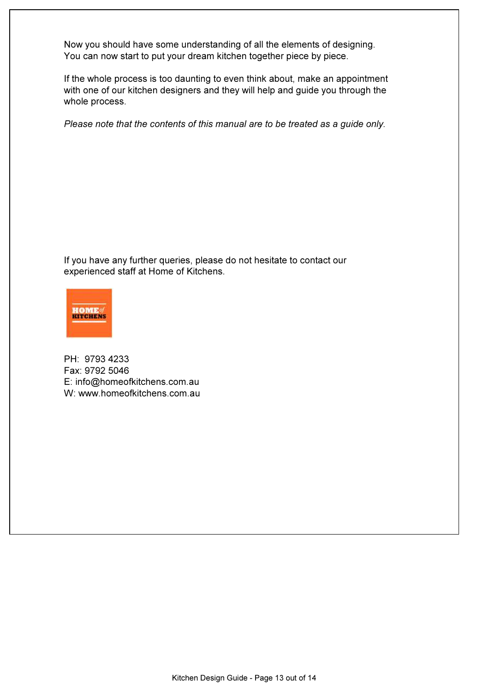Now you should have some understanding of all the elements of designing. You can now start to put your dream kitchen together piece by piece.

If the whole process is too daunting to even think about, make an appointment with one of our kitchen designers and they will help and guide you through the whole process.

Please note that the contents of this manual are to be treated as a guide only.

If you have any further queries, please do not hesitate to contact our experienced staff at Home of Kitchens.



PH: 9793 4233 Fax: 9792 5046 E: info@homeofkitchens.com.au W: www.homeofkitchens.com.au